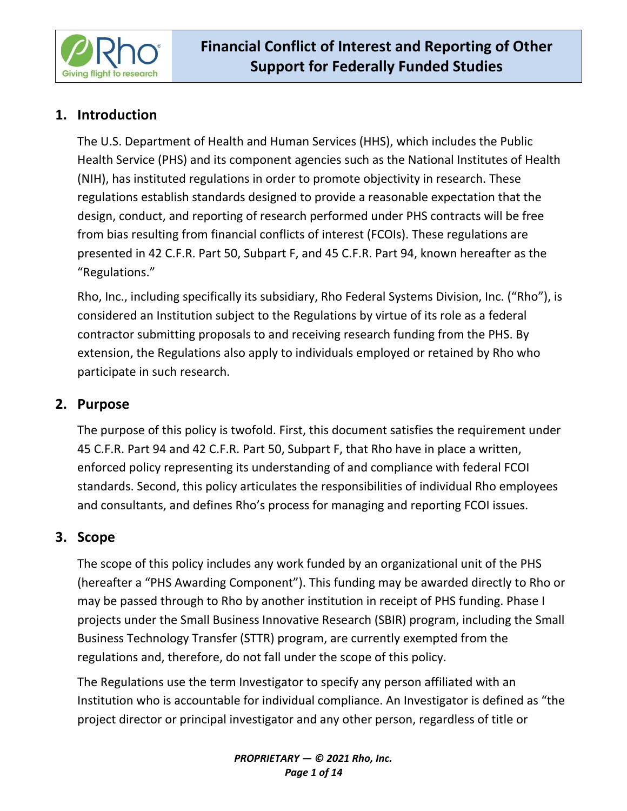

# **1. Introduction**

The U.S. Department of Health and Human Services (HHS), which includes the Public Health Service (PHS) and its component agencies such as the National Institutes of Health (NIH), has instituted regulations in order to promote objectivity in research. These regulations establish standards designed to provide a reasonable expectation that the design, conduct, and reporting of research performed under PHS contracts will be free from bias resulting from financial conflicts of interest (FCOIs). These regulations are presented in 42 C.F.R. Part 50, Subpart F, and 45 C.F.R. Part 94, known hereafter as the "Regulations."

Rho, Inc., including specifically its subsidiary, Rho Federal Systems Division, Inc. ("Rho"), is considered an Institution subject to the Regulations by virtue of its role as a federal contractor submitting proposals to and receiving research funding from the PHS. By extension, the Regulations also apply to individuals employed or retained by Rho who participate in such research.

# **2. Purpose**

The purpose of this policy is twofold. First, this document satisfies the requirement under 45 C.F.R. Part 94 and 42 C.F.R. Part 50, Subpart F, that Rho have in place a written, enforced policy representing its understanding of and compliance with federal FCOI standards. Second, this policy articulates the responsibilities of individual Rho employees and consultants, and defines Rho's process for managing and reporting FCOI issues.

# **3. Scope**

The scope of this policy includes any work funded by an organizational unit of the PHS (hereafter a "PHS Awarding Component"). This funding may be awarded directly to Rho or may be passed through to Rho by another institution in receipt of PHS funding. Phase I projects under the Small Business Innovative Research (SBIR) program, including the Small Business Technology Transfer (STTR) program, are currently exempted from the regulations and, therefore, do not fall under the scope of this policy.

The Regulations use the term Investigator to specify any person affiliated with an Institution who is accountable for individual compliance. An Investigator is defined as "the project director or principal investigator and any other person, regardless of title or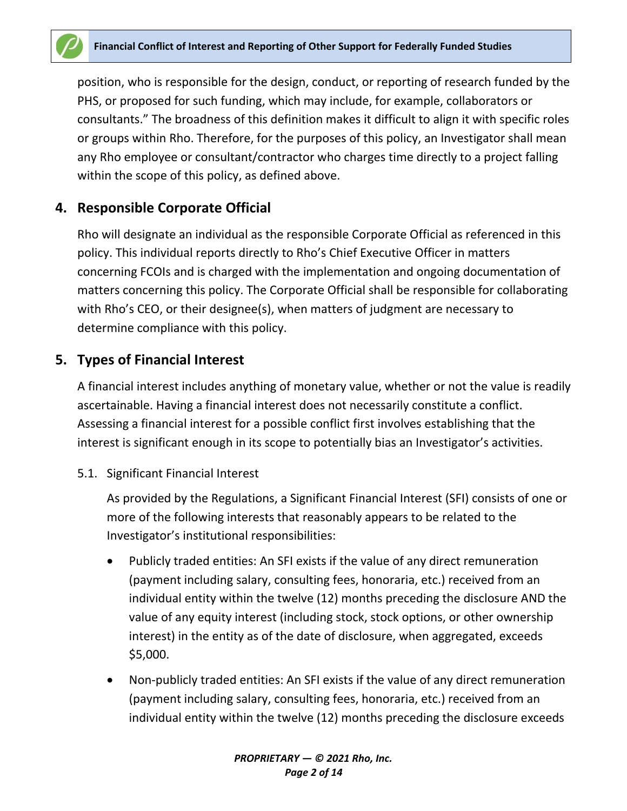position, who is responsible for the design, conduct, or reporting of research funded by the PHS, or proposed for such funding, which may include, for example, collaborators or consultants." The broadness of this definition makes it difficult to align it with specific roles or groups within Rho. Therefore, for the purposes of this policy, an Investigator shall mean any Rho employee or consultant/contractor who charges time directly to a project falling within the scope of this policy, as defined above.

# **4. Responsible Corporate Official**

Rho will designate an individual as the responsible Corporate Official as referenced in this policy. This individual reports directly to Rho's Chief Executive Officer in matters concerning FCOIs and is charged with the implementation and ongoing documentation of matters concerning this policy. The Corporate Official shall be responsible for collaborating with Rho's CEO, or their designee(s), when matters of judgment are necessary to determine compliance with this policy.

## **5. Types of Financial Interest**

A financial interest includes anything of monetary value, whether or not the value is readily ascertainable. Having a financial interest does not necessarily constitute a conflict. Assessing a financial interest for a possible conflict first involves establishing that the interest is significant enough in its scope to potentially bias an Investigator's activities.

5.1. Significant Financial Interest

As provided by the Regulations, a Significant Financial Interest (SFI) consists of one or more of the following interests that reasonably appears to be related to the Investigator's institutional responsibilities:

- Publicly traded entities: An SFI exists if the value of any direct remuneration (payment including salary, consulting fees, honoraria, etc.) received from an individual entity within the twelve (12) months preceding the disclosure AND the value of any equity interest (including stock, stock options, or other ownership interest) in the entity as of the date of disclosure, when aggregated, exceeds \$5,000.
- Non-publicly traded entities: An SFI exists if the value of any direct remuneration (payment including salary, consulting fees, honoraria, etc.) received from an individual entity within the twelve (12) months preceding the disclosure exceeds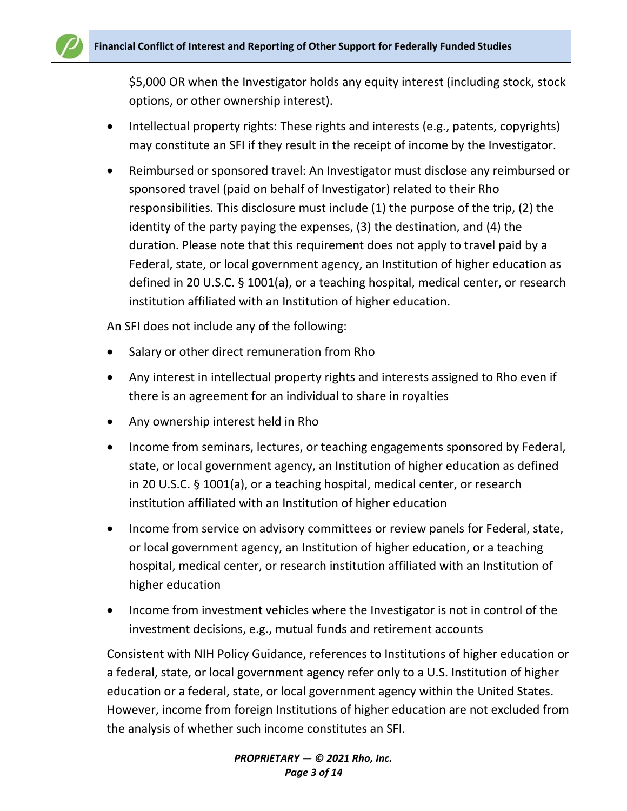

\$5,000 OR when the Investigator holds any equity interest (including stock, stock options, or other ownership interest).

- Intellectual property rights: These rights and interests (e.g., patents, copyrights) may constitute an SFI if they result in the receipt of income by the Investigator.
- Reimbursed or sponsored travel: An Investigator must disclose any reimbursed or sponsored travel (paid on behalf of Investigator) related to their Rho responsibilities. This disclosure must include (1) the purpose of the trip, (2) the identity of the party paying the expenses, (3) the destination, and (4) the duration. Please note that this requirement does not apply to travel paid by a Federal, state, or local government agency, an Institution of higher education as defined in 20 U.S.C. § 1001(a), or a teaching hospital, medical center, or research institution affiliated with an Institution of higher education.

An SFI does not include any of the following:

- Salary or other direct remuneration from Rho
- Any interest in intellectual property rights and interests assigned to Rho even if there is an agreement for an individual to share in royalties
- Any ownership interest held in Rho
- Income from seminars, lectures, or teaching engagements sponsored by Federal, state, or local government agency, an Institution of higher education as defined in 20 U.S.C. § 1001(a), or a teaching hospital, medical center, or research institution affiliated with an Institution of higher education
- Income from service on advisory committees or review panels for Federal, state, or local government agency, an Institution of higher education, or a teaching hospital, medical center, or research institution affiliated with an Institution of higher education
- Income from investment vehicles where the Investigator is not in control of the investment decisions, e.g., mutual funds and retirement accounts

Consistent with NIH Policy Guidance, references to Institutions of higher education or a federal, state, or local government agency refer only to a U.S. Institution of higher education or a federal, state, or local government agency within the United States. However, income from foreign Institutions of higher education are not excluded from the analysis of whether such income constitutes an SFI.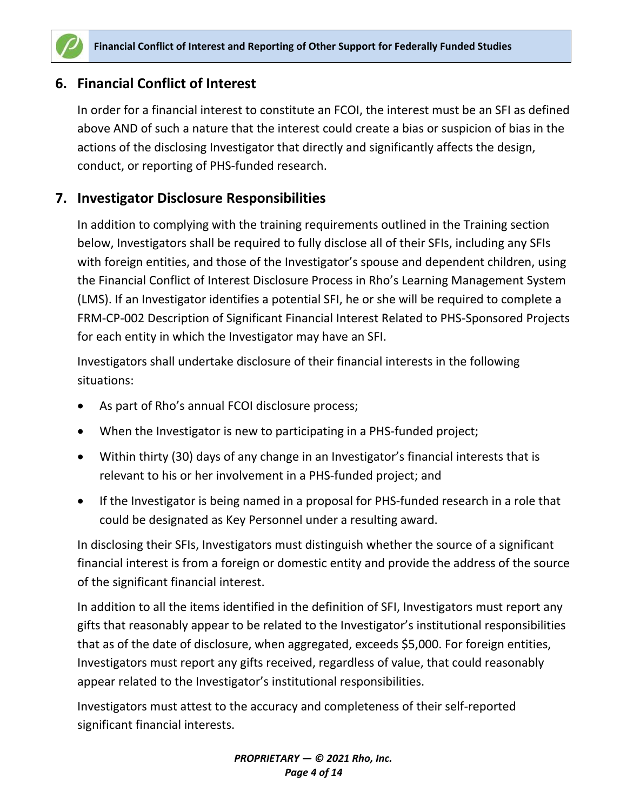

## **6. Financial Conflict of Interest**

In order for a financial interest to constitute an FCOI, the interest must be an SFI as defined above AND of such a nature that the interest could create a bias or suspicion of bias in the actions of the disclosing Investigator that directly and significantly affects the design, conduct, or reporting of PHS-funded research.

## **7. Investigator Disclosure Responsibilities**

In addition to complying with the training requirements outlined in the Training section below, Investigators shall be required to fully disclose all of their SFIs, including any SFIs with foreign entities, and those of the Investigator's spouse and dependent children, using the Financial Conflict of Interest Disclosure Process in Rho's Learning Management System (LMS). If an Investigator identifies a potential SFI, he or she will be required to complete a FRM-CP-002 Description of Significant Financial Interest Related to PHS-Sponsored Projects for each entity in which the Investigator may have an SFI.

Investigators shall undertake disclosure of their financial interests in the following situations:

- As part of Rho's annual FCOI disclosure process;
- When the Investigator is new to participating in a PHS-funded project;
- Within thirty (30) days of any change in an Investigator's financial interests that is relevant to his or her involvement in a PHS-funded project; and
- If the Investigator is being named in a proposal for PHS-funded research in a role that could be designated as Key Personnel under a resulting award.

In disclosing their SFIs, Investigators must distinguish whether the source of a significant financial interest is from a foreign or domestic entity and provide the address of the source of the significant financial interest.

In addition to all the items identified in the definition of SFI, Investigators must report any gifts that reasonably appear to be related to the Investigator's institutional responsibilities that as of the date of disclosure, when aggregated, exceeds \$5,000. For foreign entities, Investigators must report any gifts received, regardless of value, that could reasonably appear related to the Investigator's institutional responsibilities.

Investigators must attest to the accuracy and completeness of their self-reported significant financial interests.

> *PROPRIETARY — © 2021 Rho, Inc. Page 4 of 14*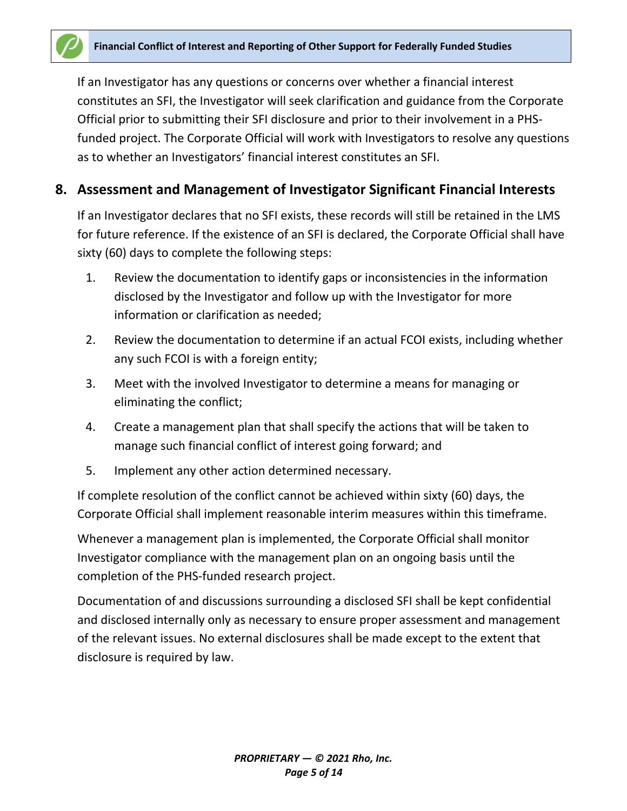If an Investigator has any questions or concerns over whether a financial interest constitutes an SFI, the Investigator will seek clarification and guidance from the Corporate Official prior to submitting their SFI disclosure and prior to their involvement in a PHSfunded project. The Corporate Official will work with Investigators to resolve any questions as to whether an Investigators' financial interest constitutes an SFI.

## **8. Assessment and Management of Investigator Significant Financial Interests**

If an Investigator declares that no SFI exists, these records will still be retained in the LMS for future reference. If the existence of an SFI is declared, the Corporate Official shall have sixty (60) days to complete the following steps:

- 1. Review the documentation to identify gaps or inconsistencies in the information disclosed by the Investigator and follow up with the Investigator for more information or clarification as needed;
- 2. Review the documentation to determine if an actual FCOI exists, including whether any such FCOI is with a foreign entity;
- 3. Meet with the involved Investigator to determine a means for managing or eliminating the conflict;
- 4. Create a management plan that shall specify the actions that will be taken to manage such financial conflict of interest going forward; and
- 5. Implement any other action determined necessary.

If complete resolution of the conflict cannot be achieved within sixty (60) days, the Corporate Official shall implement reasonable interim measures within this timeframe.

Whenever a management plan is implemented, the Corporate Official shall monitor Investigator compliance with the management plan on an ongoing basis until the completion of the PHS-funded research project.

Documentation of and discussions surrounding a disclosed SFI shall be kept confidential and disclosed internally only as necessary to ensure proper assessment and management of the relevant issues. No external disclosures shall be made except to the extent that disclosure is required by law.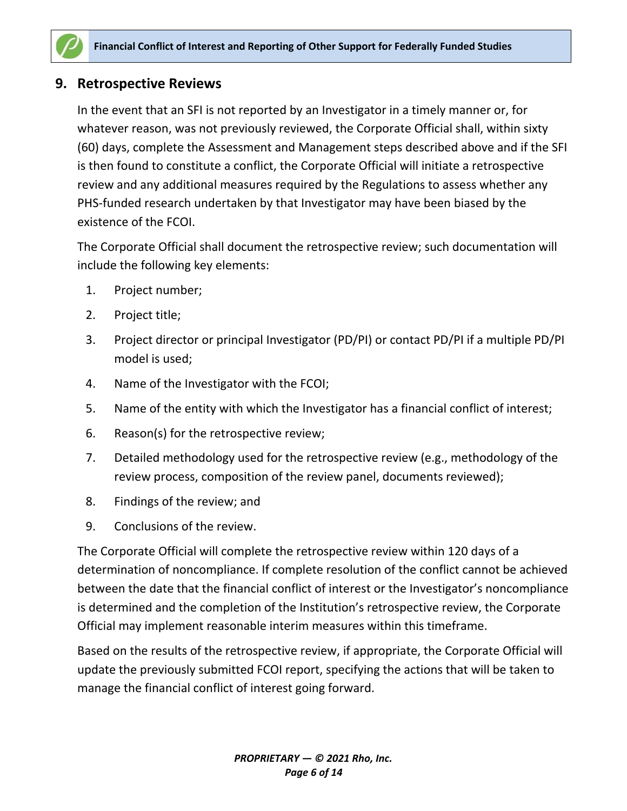

### **9. Retrospective Reviews**

In the event that an SFI is not reported by an Investigator in a timely manner or, for whatever reason, was not previously reviewed, the Corporate Official shall, within sixty (60) days, complete the Assessment and Management steps described above and if the SFI is then found to constitute a conflict, the Corporate Official will initiate a retrospective review and any additional measures required by the Regulations to assess whether any PHS-funded research undertaken by that Investigator may have been biased by the existence of the FCOI.

The Corporate Official shall document the retrospective review; such documentation will include the following key elements:

- 1. Project number;
- 2. Project title;
- 3. Project director or principal Investigator (PD/PI) or contact PD/PI if a multiple PD/PI model is used;
- 4. Name of the Investigator with the FCOI;
- 5. Name of the entity with which the Investigator has a financial conflict of interest;
- 6. Reason(s) for the retrospective review;
- 7. Detailed methodology used for the retrospective review (e.g., methodology of the review process, composition of the review panel, documents reviewed);
- 8. Findings of the review; and
- 9. Conclusions of the review.

The Corporate Official will complete the retrospective review within 120 days of a determination of noncompliance. If complete resolution of the conflict cannot be achieved between the date that the financial conflict of interest or the Investigator's noncompliance is determined and the completion of the Institution's retrospective review, the Corporate Official may implement reasonable interim measures within this timeframe.

Based on the results of the retrospective review, if appropriate, the Corporate Official will update the previously submitted FCOI report, specifying the actions that will be taken to manage the financial conflict of interest going forward.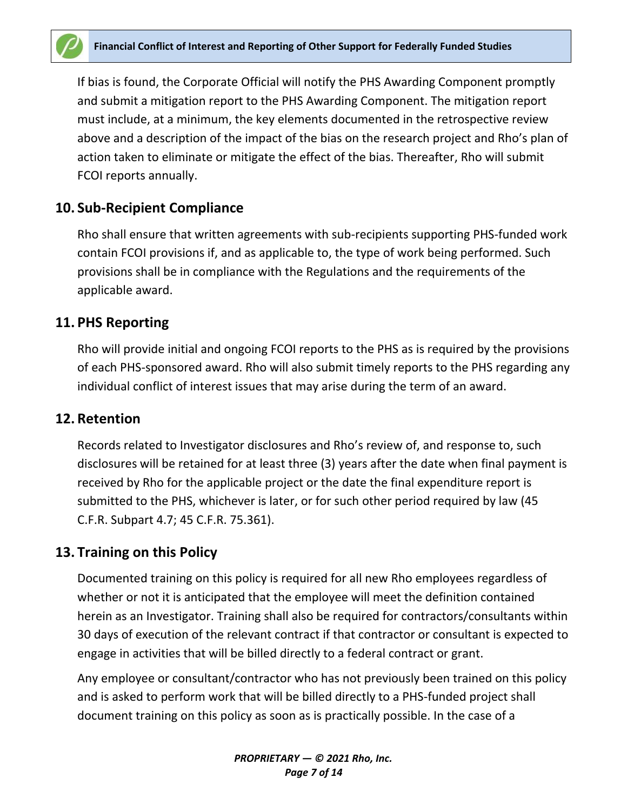

If bias is found, the Corporate Official will notify the PHS Awarding Component promptly and submit a mitigation report to the PHS Awarding Component. The mitigation report must include, at a minimum, the key elements documented in the retrospective review above and a description of the impact of the bias on the research project and Rho's plan of action taken to eliminate or mitigate the effect of the bias. Thereafter, Rho will submit FCOI reports annually.

#### **10. Sub-Recipient Compliance**

Rho shall ensure that written agreements with sub-recipients supporting PHS-funded work contain FCOI provisions if, and as applicable to, the type of work being performed. Such provisions shall be in compliance with the Regulations and the requirements of the applicable award.

#### **11. PHS Reporting**

Rho will provide initial and ongoing FCOI reports to the PHS as is required by the provisions of each PHS-sponsored award. Rho will also submit timely reports to the PHS regarding any individual conflict of interest issues that may arise during the term of an award.

#### **12. Retention**

Records related to Investigator disclosures and Rho's review of, and response to, such disclosures will be retained for at least three (3) years after the date when final payment is received by Rho for the applicable project or the date the final expenditure report is submitted to the PHS, whichever is later, or for such other period required by law (45 C.F.R. Subpart 4.7; 45 C.F.R. 75.361).

#### **13. Training on this Policy**

Documented training on this policy is required for all new Rho employees regardless of whether or not it is anticipated that the employee will meet the definition contained herein as an Investigator. Training shall also be required for contractors/consultants within 30 days of execution of the relevant contract if that contractor or consultant is expected to engage in activities that will be billed directly to a federal contract or grant.

Any employee or consultant/contractor who has not previously been trained on this policy and is asked to perform work that will be billed directly to a PHS-funded project shall document training on this policy as soon as is practically possible. In the case of a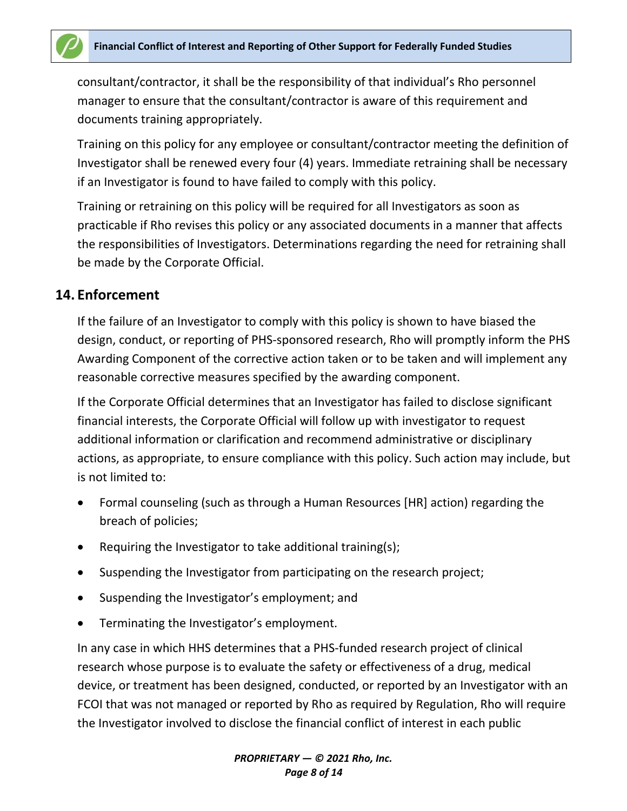

consultant/contractor, it shall be the responsibility of that individual's Rho personnel manager to ensure that the consultant/contractor is aware of this requirement and documents training appropriately.

Training on this policy for any employee or consultant/contractor meeting the definition of Investigator shall be renewed every four (4) years. Immediate retraining shall be necessary if an Investigator is found to have failed to comply with this policy.

Training or retraining on this policy will be required for all Investigators as soon as practicable if Rho revises this policy or any associated documents in a manner that affects the responsibilities of Investigators. Determinations regarding the need for retraining shall be made by the Corporate Official.

#### **14. Enforcement**

If the failure of an Investigator to comply with this policy is shown to have biased the design, conduct, or reporting of PHS-sponsored research, Rho will promptly inform the PHS Awarding Component of the corrective action taken or to be taken and will implement any reasonable corrective measures specified by the awarding component.

If the Corporate Official determines that an Investigator has failed to disclose significant financial interests, the Corporate Official will follow up with investigator to request additional information or clarification and recommend administrative or disciplinary actions, as appropriate, to ensure compliance with this policy. Such action may include, but is not limited to:

- Formal counseling (such as through a Human Resources [HR] action) regarding the breach of policies;
- Requiring the Investigator to take additional training(s);
- Suspending the Investigator from participating on the research project;
- Suspending the Investigator's employment; and
- Terminating the Investigator's employment.

In any case in which HHS determines that a PHS-funded research project of clinical research whose purpose is to evaluate the safety or effectiveness of a drug, medical device, or treatment has been designed, conducted, or reported by an Investigator with an FCOI that was not managed or reported by Rho as required by Regulation, Rho will require the Investigator involved to disclose the financial conflict of interest in each public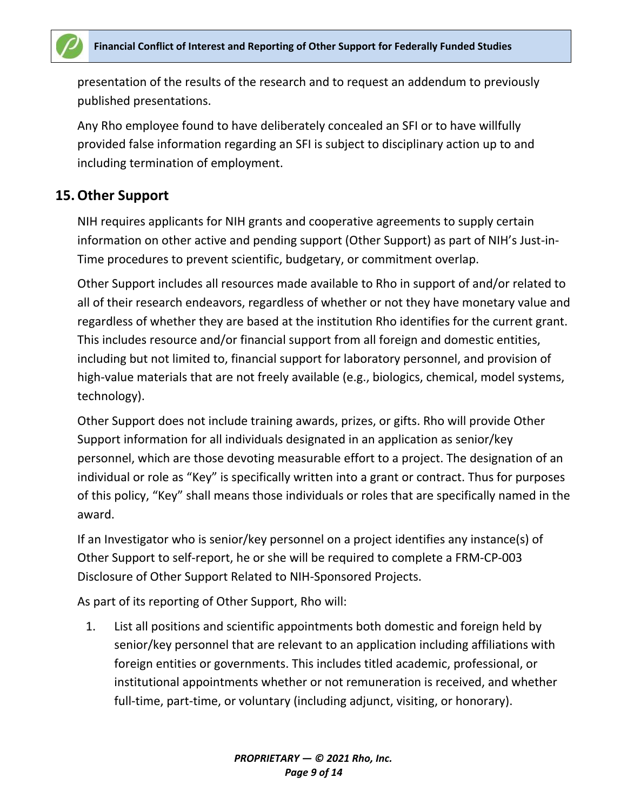

presentation of the results of the research and to request an addendum to previously published presentations.

Any Rho employee found to have deliberately concealed an SFI or to have willfully provided false information regarding an SFI is subject to disciplinary action up to and including termination of employment.

## **15.Other Support**

NIH requires applicants for NIH grants and cooperative agreements to supply certain information on other active and pending support (Other Support) as part of NIH's Just-in-Time procedures to prevent scientific, budgetary, or commitment overlap.

Other Support includes all resources made available to Rho in support of and/or related to all of their research endeavors, regardless of whether or not they have monetary value and regardless of whether they are based at the institution Rho identifies for the current grant. This includes resource and/or financial support from all foreign and domestic entities, including but not limited to, financial support for laboratory personnel, and provision of high-value materials that are not freely available (e.g., biologics, chemical, model systems, technology).

Other Support does not include training awards, prizes, or gifts. Rho will provide Other Support information for all individuals designated in an application as senior/key personnel, which are those devoting measurable effort to a project. The designation of an individual or role as "Key" is specifically written into a grant or contract. Thus for purposes of this policy, "Key" shall means those individuals or roles that are specifically named in the award.

If an Investigator who is senior/key personnel on a project identifies any instance(s) of Other Support to self-report, he or she will be required to complete a FRM-CP-003 Disclosure of Other Support Related to NIH-Sponsored Projects.

As part of its reporting of Other Support, Rho will:

1. List all positions and scientific appointments both domestic and foreign held by senior/key personnel that are relevant to an application including affiliations with foreign entities or governments. This includes titled academic, professional, or institutional appointments whether or not remuneration is received, and whether full-time, part-time, or voluntary (including adjunct, visiting, or honorary).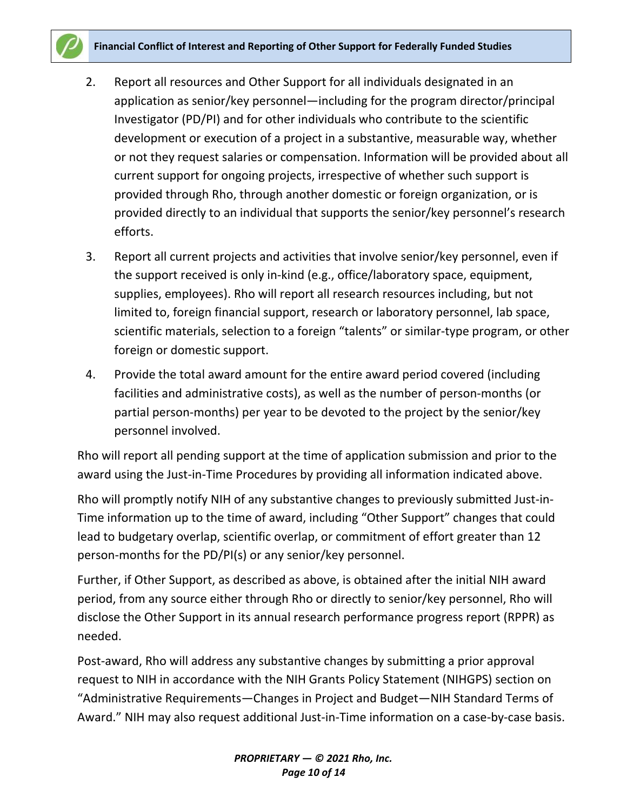- 2. Report all resources and Other Support for all individuals designated in an application as senior/key personnel—including for the program director/principal Investigator (PD/PI) and for other individuals who contribute to the scientific development or execution of a project in a substantive, measurable way, whether or not they request salaries or compensation. Information will be provided about all current support for ongoing projects, irrespective of whether such support is provided through Rho, through another domestic or foreign organization, or is provided directly to an individual that supports the senior/key personnel's research efforts.
- 3. Report all current projects and activities that involve senior/key personnel, even if the support received is only in-kind (e.g., office/laboratory space, equipment, supplies, employees). Rho will report all research resources including, but not limited to, foreign financial support, research or laboratory personnel, lab space, scientific materials, selection to a foreign "talents" or similar-type program, or other foreign or domestic support.
- 4. Provide the total award amount for the entire award period covered (including facilities and administrative costs), as well as the number of person-months (or partial person-months) per year to be devoted to the project by the senior/key personnel involved.

Rho will report all pending support at the time of application submission and prior to the award using the Just-in-Time Procedures by providing all information indicated above.

Rho will promptly notify NIH of any substantive changes to previously submitted Just-in-Time information up to the time of award, including "Other Support" changes that could lead to budgetary overlap, scientific overlap, or commitment of effort greater than 12 person-months for the PD/PI(s) or any senior/key personnel.

Further, if Other Support, as described as above, is obtained after the initial NIH award period, from any source either through Rho or directly to senior/key personnel, Rho will disclose the Other Support in its annual research performance progress report (RPPR) as needed.

Post-award, Rho will address any substantive changes by submitting a prior approval request to NIH in accordance with the NIH Grants Policy Statement (NIHGPS) section on "Administrative Requirements—Changes in Project and Budget—NIH Standard Terms of Award." NIH may also request additional Just-in-Time information on a case-by-case basis.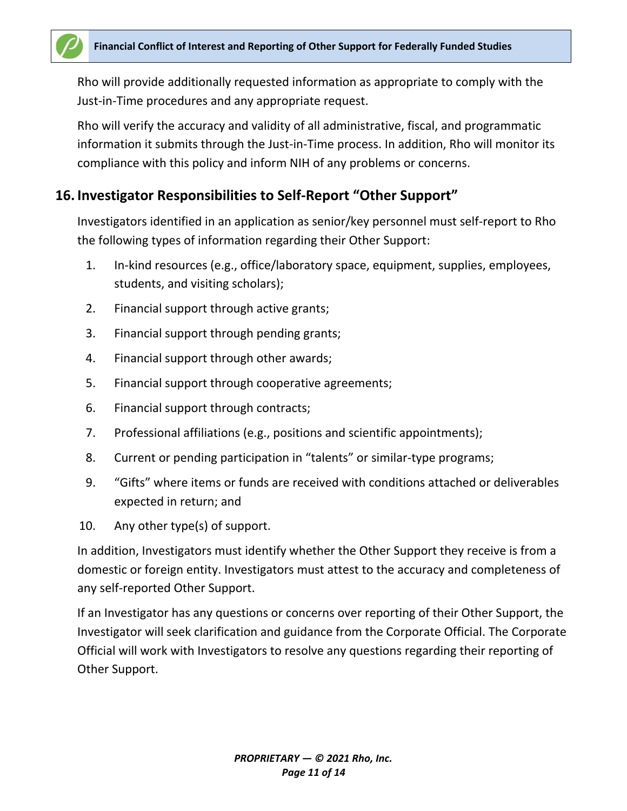Rho will provide additionally requested information as appropriate to comply with the Just-in-Time procedures and any appropriate request.

Rho will verify the accuracy and validity of all administrative, fiscal, and programmatic information it submits through the Just-in-Time process. In addition, Rho will monitor its compliance with this policy and inform NIH of any problems or concerns.

## **16. Investigator Responsibilities to Self-Report "Other Support"**

Investigators identified in an application as senior/key personnel must self-report to Rho the following types of information regarding their Other Support:

- 1. In-kind resources (e.g., office/laboratory space, equipment, supplies, employees, students, and visiting scholars);
- 2. Financial support through active grants;
- 3. Financial support through pending grants;
- 4. Financial support through other awards;
- 5. Financial support through cooperative agreements;
- 6. Financial support through contracts;
- 7. Professional affiliations (e.g., positions and scientific appointments);
- 8. Current or pending participation in "talents" or similar-type programs;
- 9. "Gifts" where items or funds are received with conditions attached or deliverables expected in return; and
- 10. Any other type(s) of support.

In addition, Investigators must identify whether the Other Support they receive is from a domestic or foreign entity. Investigators must attest to the accuracy and completeness of any self-reported Other Support.

If an Investigator has any questions or concerns over reporting of their Other Support, the Investigator will seek clarification and guidance from the Corporate Official. The Corporate Official will work with Investigators to resolve any questions regarding their reporting of Other Support.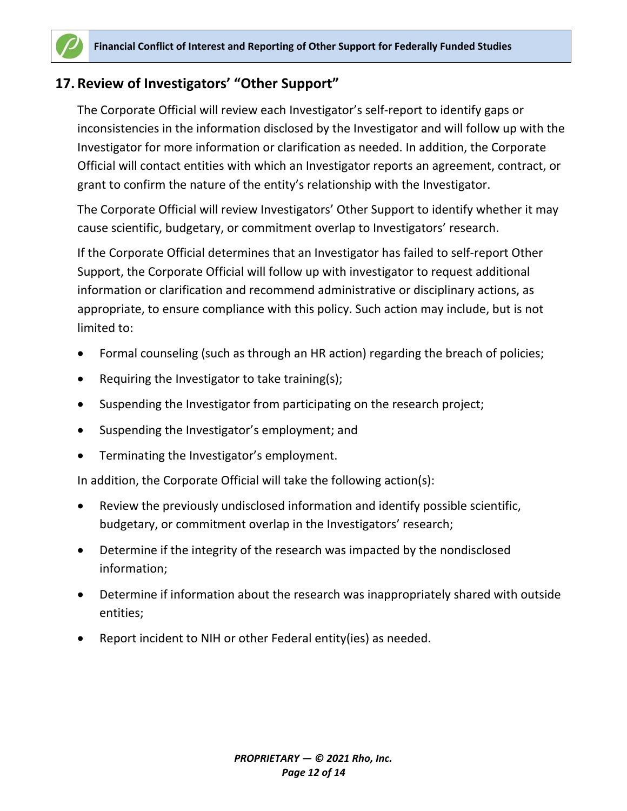# **17. Review of Investigators' "Other Support"**

The Corporate Official will review each Investigator's self-report to identify gaps or inconsistencies in the information disclosed by the Investigator and will follow up with the Investigator for more information or clarification as needed. In addition, the Corporate Official will contact entities with which an Investigator reports an agreement, contract, or grant to confirm the nature of the entity's relationship with the Investigator.

The Corporate Official will review Investigators' Other Support to identify whether it may cause scientific, budgetary, or commitment overlap to Investigators' research.

If the Corporate Official determines that an Investigator has failed to self-report Other Support, the Corporate Official will follow up with investigator to request additional information or clarification and recommend administrative or disciplinary actions, as appropriate, to ensure compliance with this policy. Such action may include, but is not limited to:

- Formal counseling (such as through an HR action) regarding the breach of policies;
- Requiring the Investigator to take training(s);
- Suspending the Investigator from participating on the research project;
- Suspending the Investigator's employment; and
- Terminating the Investigator's employment.

In addition, the Corporate Official will take the following action(s):

- Review the previously undisclosed information and identify possible scientific, budgetary, or commitment overlap in the Investigators' research;
- Determine if the integrity of the research was impacted by the nondisclosed information;
- Determine if information about the research was inappropriately shared with outside entities;
- Report incident to NIH or other Federal entity(ies) as needed.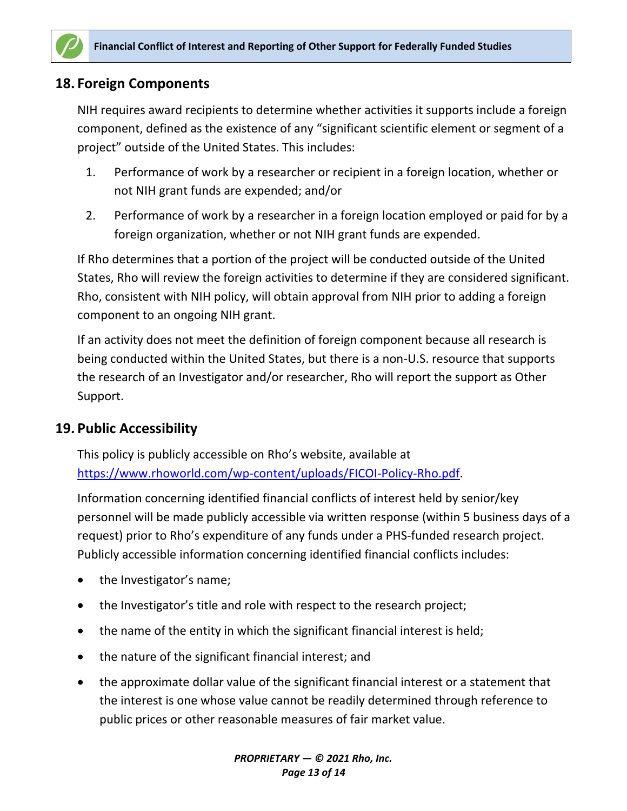

## **18. Foreign Components**

NIH requires award recipients to determine whether activities it supports include a foreign component, defined as the existence of any "significant scientific element or segment of a project" outside of the United States. This includes:

- 1. Performance of work by a researcher or recipient in a foreign location, whether or not NIH grant funds are expended; and/or
- 2. Performance of work by a researcher in a foreign location employed or paid for by a foreign organization, whether or not NIH grant funds are expended.

If Rho determines that a portion of the project will be conducted outside of the United States, Rho will review the foreign activities to determine if they are considered significant. Rho, consistent with NIH policy, will obtain approval from NIH prior to adding a foreign component to an ongoing NIH grant.

If an activity does not meet the definition of foreign component because all research is being conducted within the United States, but there is a non-U.S. resource that supports the research of an Investigator and/or researcher, Rho will report the support as Other Support.

## **19. Public Accessibility**

This policy is publicly accessible on Rho's website, available at [https://www.rhoworld.com/wp-content/uploads/FICOI-Policy-Rho.pdf.](https://www.rhoworld.com/wp-content/uploads/FICOI-Policy-Rho.pdf)

Information concerning identified financial conflicts of interest held by senior/key personnel will be made publicly accessible via written response (within 5 business days of a request) prior to Rho's expenditure of any funds under a PHS-funded research project. Publicly accessible information concerning identified financial conflicts includes:

- the Investigator's name;
- the Investigator's title and role with respect to the research project;
- the name of the entity in which the significant financial interest is held;
- the nature of the significant financial interest; and
- the approximate dollar value of the significant financial interest or a statement that the interest is one whose value cannot be readily determined through reference to public prices or other reasonable measures of fair market value.

*PROPRIETARY — © 2021 Rho, Inc. Page 13 of 14*